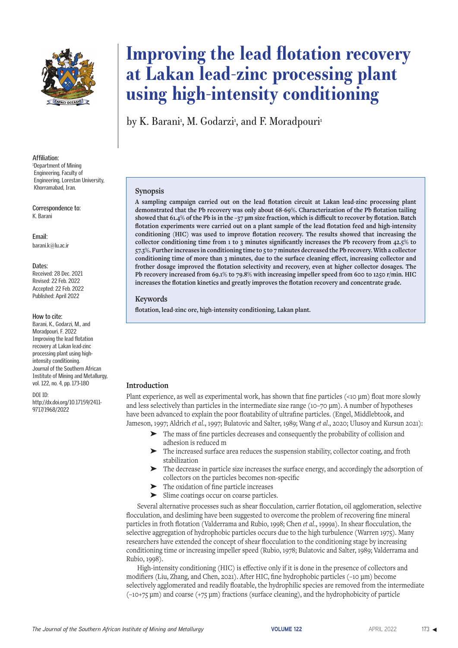

#### **Affiliation:** 1 Department of Mining Engineering, Faculty of Engineering, Lorestan University,

Khorramabad, Iran.

**Correspondence to:** K. Barani

**Email:** barani.k@lu.ac.ir

#### **Dates:**

Received: 28 Dec. 2021 Revised: 22 Feb. 2022 Accepted: 22 Feb. 2022 Published: April 2022

#### **How to cite:**

Barani, K., Godarzi, M., and Moradpouri, F. 2022 Improving the lead flotation recovery at Lakan lead-zinc processing plant using highintensity conditioning. Journal of the Southern African Institute of Mining and Metallurgy, vol. 122, no. 4, pp. 173-180

#### DOI ID:

http://dx.doi.org/10.17159/2411- 9717/1968/2022

# **Improving the lead flotation recovery at Lakan lead-zinc processing plant using high-intensity conditioning**

by K. Barani<sup>,</sup> M. Godarzi<sup>,</sup> and F. Moradpouri<sup>,</sup>

### **Synopsis**

**A sampling campaign carried out on the lead flotation circuit at Lakan lead-zinc processing plant demonstrated that the Pb recovery was only about 68-69%. Characterization of the Pb flotation tailing showed that 61.4% of the Pb is in the –37 µm size fraction, which is difficult to recover by flotation. Batch flotation experiments were carried out on a plant sample of the lead flotation feed and high-intensity conditioning (HIC) was used to improve flotation recovery. The results showed that increasing the collector conditioning time from 1 to 3 minutes significantly increases the Pb recovery from 42.5% to 57.3%. Further increases in conditioning time to 5 to 7 minutes decreased the Pb recovery. With a collector conditioning time of more than 3 minutes, due to the surface cleaning effect, increasing collector and frother dosage improved the flotation selectivity and recovery, even at higher collector dosages. The Pb recovery increased from 69.1% to 79.8% with increasing impeller speed from 600 to 1250 r/min. HIC increases the flotation kinetics and greatly improves the flotation recovery and concentrate grade.**

### **Keywords**

**flotation, lead-zinc ore, high-intensity conditioning, Lakan plant.**

# **Introduction**

Plant experience, as well as experimental work, has shown that fine particles (<10 μm) float more slowly and less selectively than particles in the intermediate size range (10–70 μm). A number of hypotheses have been advanced to explain the poor floatability of ultrafine particles. (Engel, Middlebtook, and Jameson, 1997; Aldrich *et al*., 1997; Bulatovic and Salter, 1989; Wang *et al*., 2020; Ulusoy and Kursun 2021):

- ➤ The mass of fine particles decreases and consequently the probability of collision and adhesion is reduced m
- ➤ The increased surface area reduces the suspension stability, collector coating, and froth stabilization
- ➤ The decrease in particle size increases the surface energy, and accordingly the adsorption of collectors on the particles becomes non-specific
- The oxidation of fine particle increases
- ➤ Slime coatings occur on coarse particles.

Several alternative processes such as shear flocculation, carrier flotation, oil agglomeration, selective flocculation, and desliming have been suggested to overcome the problem of recovering fine mineral particles in froth flotation (Valderrama and Rubio, 1998; Chen *et al*., 1999a). In shear flocculation, the selective aggregation of hydrophobic particles occurs due to the high turbulence (Warren 1975). Many researchers have extended the concept of shear flocculation to the conditioning stage by increasing conditioning time or increasing impeller speed (Rubio, 1978; Bulatovic and Salter, 1989; Valderrama and Rubio, 1998).

High-intensity conditioning (HIC) is effective only if it is done in the presence of collectors and modifiers (Liu, Zhang, and Chen, 2021). After HIC, fine hydrophobic particles (–10 μm) become selectively agglomerated and readily floatable, the hydrophilic species are removed from the intermediate (–10+75 μm) and coarse (+75 μm) fractions (surface cleaning), and the hydrophobicity of particle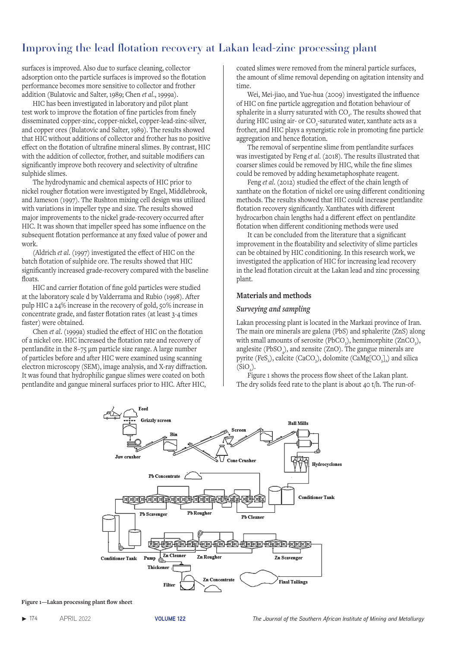surfaces is improved. Also due to surface cleaning, collector adsorption onto the particle surfaces is improved so the flotation performance becomes more sensitive to collector and frother addition (Bulatovic and Salter, 1989; Chen *et al*., 1999a).

HIC has been investigated in laboratory and pilot plant test work to improve the flotation of fine particles from finely disseminated copper-zinc, copper-nickel, copper-lead-zinc-silver, and copper ores (Bulatovic and Salter, 1989). The results showed that HIC without additions of collector and frother has no positive effect on the flotation of ultrafine mineral slimes. By contrast, HIC with the addition of collector, frother, and suitable modifiers can significantly improve both recovery and selectivity of ultrafine sulphide slimes.

The hydrodynamic and chemical aspects of HIC prior to nickel rougher flotation were investigated by Engel, Middlebrook, and Jameson (1997). The Rushton mixing cell design was utilized with variations in impeller type and size. The results showed major improvements to the nickel grade-recovery occurred after HIC. It was shown that impeller speed has some influence on the subsequent flotation performance at any fixed value of power and work.

(Aldrich *et al*. (1997) investigated the effect of HIC on the batch flotation of sulphide ore. The results showed that HIC significantly increased grade-recovery compared with the baseline floats.

HIC and carrier flotation of fine gold particles were studied at the laboratory scale d by Valderrama and Rubio (1998). After pulp HIC a 24% increase in the recovery of gold, 50% increase in concentrate grade, and faster flotation rates (at least 3-4 times faster) were obtained.

Chen *et al*. (1999a) studied the effect of HIC on the flotation of a nickel ore. HIC increased the flotation rate and recovery of pentlandite in the 8–75 μm particle size range. A large number of particles before and after HIC were examined using scanning electron microscopy (SEM), image analysis, and X-ray diffraction. It was found that hydrophilic gangue slimes were coated on both pentlandite and gangue mineral surfaces prior to HIC. After HIC,

coated slimes were removed from the mineral particle surfaces, the amount of slime removal depending on agitation intensity and time.

Wei, Mei-jiao, and Yue-hua (2009) investigated the influence of HIC on fine particle aggregation and flotation behaviour of sphalerite in a slurry saturated with CO<sub>2</sub>. The results showed that during HIC using air- or CO<sub>2</sub>-saturated water, xanthate acts as a frother, and HIC plays a synergistic role in promoting fine particle aggregation and hence flotation.

The removal of serpentine slime from pentlandite surfaces was investigated by Feng *et al*. (2018). The results illustrated that coarser slimes could be removed by HIC, while the fine slimes could be removed by adding hexametaphosphate reagent.

Feng *et al*. (2012) studied the effect of the chain length of xanthate on the flotation of nickel ore using different conditioning methods. The results showed that HIC could increase pentlandite flotation recovery significantly. Xanthates with different hydrocarbon chain lengths had a different effect on pentlandite flotation when different conditioning methods were used

It can be concluded from the literature that a significant improvement in the floatability and selectivity of slime particles can be obtained by HIC conditioning. In this research work, we investigated the application of HIC for increasing lead recovery in the lead flotation circuit at the Lakan lead and zinc processing plant.

#### **Materials and methods**

#### *Surveying and sampling*

Lakan processing plant is located in the Markazi province of Iran. The main ore minerals are galena (PbS) and sphalerite (ZnS) along with small amounts of serosite (PbCO<sub>3</sub>), hemimorphite (ZnCO<sub>3</sub>), anglesite (PbSO $_{4}$ ), and zensite (ZnO). The gangue minerals are pyrite (FeS<sub>2</sub>), calcite (CaCO<sub>3</sub>), dolomite (CaMg[CO<sub>3</sub>]<sub>2</sub>) and silica  $(SiO<sub>2</sub>)$ .

Figure 1 shows the process flow sheet of the Lakan plant. The dry solids feed rate to the plant is about 40 t/h. The run-of-



**Figure 1—Lakan processing plant flow sheet**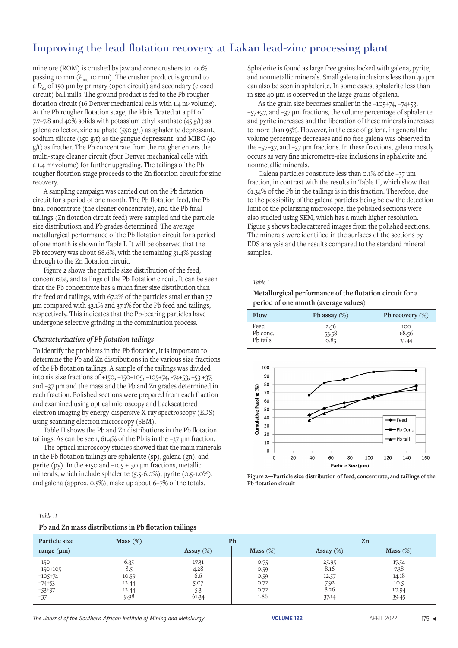mine ore (ROM) is crushed by jaw and cone crushers to 100% passing 10 mm  $(P_{100} 10 \text{ mm})$ . The crusher product is ground to a  $D_{80}$  of 150 µm by primary (open circuit) and secondary (closed circuit) ball mills. The ground product is fed to the Pb rougher flotation circuit (16 Denver mechanical cells with 1.4 m<sup>3</sup> volume). At the Pb rougher flotation stage, the Pb is floated at a pH of 7.7–7.8 and 40% solids with potassium ethyl xanthate  $(45 g/t)$  as galena collector, zinc sulphate (550 g/t) as sphalerite depressant, sodium silicate (150 g/t) as the gangue depressant, and MIBC (40 g/t) as frother. The Pb concentrate from the rougher enters the multi-stage cleaner circuit (four Denver mechanical cells with a 1.4 m3 volume) for further upgrading. The tailings of the Pb rougher flotation stage proceeds to the Zn flotation circuit for zinc recovery.

A sampling campaign was carried out on the Pb flotation circuit for a period of one month. The Pb flotation feed, the Pb final concentrate (the cleaner concentrate), and the Pb final tailings (Zn flotation circuit feed) were sampled and the particle size distributiosn and Pb grades determined. The average metallurgical performance of the Pb flotation circuit for a period of one month is shown in Table I. It will be observed that the Pb recovery was about 68.6%, with the remaining 31.4% passing through to the Zn flotation circuit.

Figure 2 shows the particle size distribution of the feed, concentrate, and tailings of the Pb flotation circuit. It can be seen that the Pb concentrate has a much finer size distribution than the feed and tailings, with 67.2% of the particles smaller than 37 μm compared with 43.1% and 37.1% for the Pb feed and tailings, respectively. This indicates that the Pb-bearing particles have undergone selective grinding in the comminution process.

# *Characterization of Pb flotation tailings*

To identify the problems in the Pb flotation, it is important to determine the Pb and Zn distributions in the various size fractions of the Pb flotation tailings. A sample of the tailings was divided into six size fractions of +150, –150+105, –105+74, -74+53, –53 +37, and –37 μm and the mass and the Pb and Zn grades determined in each fraction. Polished sections were prepared from each fraction and examined using optical microscopy and backscattered electron imaging by energy-dispersive X-ray spectroscopy (EDS) using scanning electron microscopy (SEM).

Table II shows the Pb and Zn distributions in the Pb flotation tailings. As can be seen, 61.4% of the Pb is in the –37 µm fraction.

The optical microscopy studies showed that the main minerals in the Pb flotation tailings are sphalerite (sp), galena (gn), and pyrite (py). In the +150 and –105 +150 μm fractions, metallic minerals, which include sphalerite (5.5-6.0%), pyrite (0.5-1.0%), and galena (approx. 0.5%), make up about 6–7% of the totals.

Sphalerite is found as large free grains locked with galena, pyrite, and nonmetallic minerals. Small galena inclusions less than 40 μm can also be seen in sphalerite. In some cases, sphalerite less than in size 40 μm is observed in the large grains of galena.

As the grain size becomes smaller in the –105+74, –74+53, –57+37, and –37 μm fractions, the volume percentage of sphalerite and pyrite increases and the liberation of these minerals increases to more than 95%. However, in the case of galena, in general the volume percentage decreases and no free galena was observed in the –57+37, and –37 μm fractions. In these fractions, galena mostly occurs as very fine micrometre-size inclusions in sphalerite and nonmetallic minerals.

Galena particles constitute less than 0.1% of the –37 µm fraction, in contrast with the results in Table II, which show that 61.34% of the Pb in the tailings is in this fraction. Therefore, due to the possibility of the galena particles being below the detection limit of the polarizing microscope, the polished sections were also studied using SEM, which has a much higher resolution. Figure 3 shows backscattered images from the polished sections. The minerals were identified in the surfaces of the sections by EDS analysis and the results compared to the standard mineral samples.

### *Table I*

 **Metallurgical performance of the flotation circuit for a period of one month (average values)**

| Flow                         | Pb assay $(\%)$       | Pb recovery $(\%)$    |  |  |
|------------------------------|-----------------------|-----------------------|--|--|
| Feed<br>Pb conc.<br>Pb tails | 2.56<br>53.58<br>0.83 | 100<br>68.56<br>31.44 |  |  |





| Table II<br>Pb and Zn mass distributions in Pb flotation tailings |             |              |             |              |             |  |  |  |  |  |
|-------------------------------------------------------------------|-------------|--------------|-------------|--------------|-------------|--|--|--|--|--|
| Particle size                                                     | Mass $(\%)$ | Pb           |             | Zn           |             |  |  |  |  |  |
| range $(\mu m)$                                                   |             | Assay $(\%)$ | Mass $(\%)$ | Assay $(\%)$ | Mass $(\%)$ |  |  |  |  |  |
| $+150$                                                            | 6.35        | 17.31        | 0.75        | 25.95        | 17.54       |  |  |  |  |  |
| $-150+105$                                                        | 8.5         | 4.28         | 0.59        | 8.16         | 7.38        |  |  |  |  |  |
| $-105+74$                                                         | 10.59       | 6.6          | 0.59        | 12.57        | 14.18       |  |  |  |  |  |
| $-74+53$                                                          | 12.44       | 5.07         | 0.72        | 7.92         | 10.5        |  |  |  |  |  |
| $-53+37$                                                          | 12.44       | 5.3          | 0.72        | 8.26         | 10.94       |  |  |  |  |  |
| $-37$                                                             | 9.98        | 61.34        | 1.86        | 37.14        | 39.45       |  |  |  |  |  |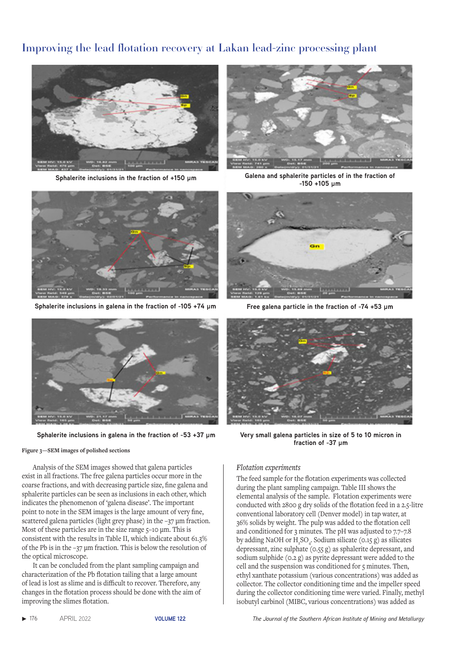

**Sphalerite inclusions in the fraction of +150 μm Galena and sphalerite particles of in the fraction of** 



**Sphalerite inclusions in galena in the fraction of -105 +74 μm Free galena particle in the fraction of -74 +53 μm**



#### **Figure 3—SEM images of polished sections**

Analysis of the SEM images showed that galena particles exist in all fractions. The free galena particles occur more in the coarse fractions, and with decreasing particle size, fine galena and sphalerite particles can be seen as inclusions in each other, which indicates the phenomenon of 'galena disease'. The important point to note in the SEM images is the large amount of very fine, scattered galena particles (light grey phase) in the -37 µm fraction. Most of these particles are in the size range 5-10 µm. This is consistent with the results in Table II, which indicate about 61.3% of the Pb is in the –37 µm fraction. This is below the resolution of the optical microscope.

It can be concluded from the plant sampling campaign and characterization of the Pb flotation tailing that a large amount of lead is lost as slime and is difficult to recover. Therefore, any changes in the flotation process should be done with the aim of improving the slimes flotation.

**-150 +105 μm**





**Sphalerite inclusions in galena in the fraction of -53 +37 μm Very small galena particles in size of 5 to 10 micron in fraction of -37 μm**

#### *Flotation experiments*

The feed sample for the flotation experiments was collected during the plant sampling campaign. Table III shows the elemental analysis of the sample. Flotation experiments were conducted with 2800 g dry solids of the flotation feed in a 2.5-litre conventional laboratory cell (Denver model) in tap water, at 36% solids by weight. The pulp was added to the flotation cell and conditioned for 3 minutes. The pH was adjusted to 7.7–7.8 by adding NaOH or  $H_1SO_4$ . Sodium silicate (0.15 g) as silicates depressant, zinc sulphate (0.55 g) as sphalerite depressant, and sodium sulphide (0.2 g) as pyrite depressant were added to the cell and the suspension was conditioned for 5 minutes. Then, ethyl xanthate potassium (various concentrations) was added as collector. The collector conditioning time and the impeller speed during the collector conditioning time were varied. Finally, methyl isobutyl carbinol (MIBC, various concentrations) was added as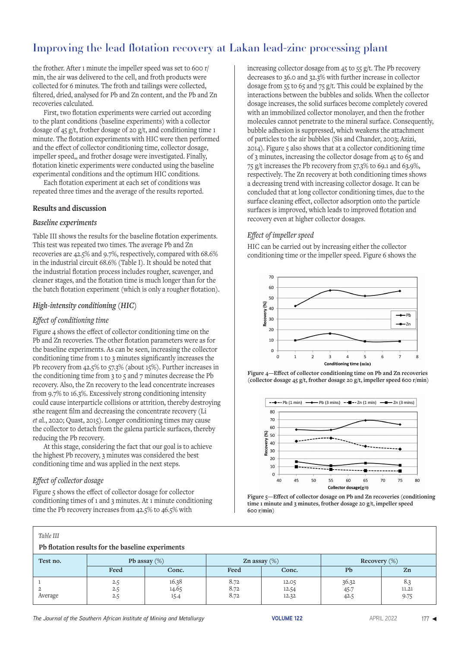the frother. After 1 minute the impeller speed was set to 600 r/ min, the air was delivered to the cell, and froth products were collected for 6 minutes. The froth and tailings were collected, filtered, dried, analysed for Pb and Zn content, and the Pb and Zn recoveries calculated.

First, two flotation experiments were carried out according to the plant conditions (baseline experiments) with a collector dosage of 45 g/t, frother dosage of 20 g/t, and conditioning time 1 minute. The flotation experiments with HIC were then performed and the effect of collector conditioning time, collector dosage, impeller speed,, and frother dosage were investigated. Finally, flotation kinetic experiments were conducted using the baseline experimental conditions and the optimum HIC conditions.

Each flotation experiment at each set of conditions was repeated three times and the average of the results reported.

## **Results and discussion**

## *Baseline experiments*

Table III shows the results for the baseline flotation experiments. This test was repeated two times. The average Pb and Zn recoveries are 42.5% and 9.7%, respectively, compared with 68.6% in the industrial circuit 68.6% (Table I). It should be noted that the industrial flotation process includes rougher, scavenger, and cleaner stages, and the flotation time is much longer than for the the batch flotation experiment (which is only a rougher flotation).

# *High-intensity conditioning (HIC)*

### *Effect of conditioning time*

Figure 4 shows the effect of collector conditioning time on the Pb and Zn recoveries. The other flotation parameters were as for the baseline experiments. As can be seen, increasing the collector conditioning time from 1 to 3 minutes significantly increases the Pb recovery from 42.5% to 57.3% (about 15%). Further increases in the conditioning time from  $3$  to  $5$  and  $7$  minutes decrease the Pb recovery. Also, the Zn recovery to the lead concentrate increases from 9.7% to 16.3%. Excessively strong conditioning intensity could cause interparticle collisions or attrition, thereby destroying sthe reagent film and decreasing the concentrate recovery (Li *et a*l., 2020; Quast, 2015). Longer conditioning times may cause the collector to detach from the galena particle surfaces, thereby reducing the Pb recovery.

At this stage, considering the fact that our goal is to achieve the highest Pb recovery, 3 minutes was considered the best conditioning time and was applied in the next steps.

# *Effect of collector dosage*

Figure 5 shows the effect of collector dosage for collector conditioning times of 1 and 3 minutes. At 1 minute conditioning time the Pb recovery increases from 42.5% to 46.5% with

increasing collector dosage from 45 to 55 g/t. The Pb recovery decreases to 36.0 and 32.3% with further increase in collector dosage from 55 to 65 and 75 g/t. This could be explained by the interactions between the bubbles and solids. When the collector dosage increases, the solid surfaces become completely covered with an immobilized collector monolayer, and then the frother molecules cannot penetrate to the mineral surface. Consequently, bubble adhesion is suppressed, which weakens the attachment of particles to the air bubbles (Sis and Chander, 2003; Azizi, 2014). Figure 5 also shows that at a collector conditioning time of 3 minutes, increasing the collector dosage from 45 to 65 and 75 g/t increases the Pb recovery from 57.3% to 69.1 and 63.9%, respectively. The Zn recovery at both conditioning times shows a decreasing trend with increasing collector dosage. It can be concluded that at long collector conditioning times, due to the surface cleaning effect, collector adsorption onto the particle surfaces is improved, which leads to improved flotation and recovery even at higher collector dosages.

# *Effect of impeller speed*

HIC can be carried out by increasing either the collector conditioning time or the impeller speed. Figure 6 shows the







**Figure 5—Effect of collector dosage on Pb and Zn recoveries (conditioning time 1 minute and 3 minutes, frother dosage 20 g/t, impeller speed 600 r/min)** 

| Table III<br>Pb flotation results for the baseline experiments |                   |                          |                         |                         |                       |                      |  |  |  |  |  |
|----------------------------------------------------------------|-------------------|--------------------------|-------------------------|-------------------------|-----------------------|----------------------|--|--|--|--|--|
| Test no.                                                       | Feed              | Pb assay $(\%)$<br>Conc. | Zn assay $(\%)$<br>Feed | Conc.                   | Recovery $(\%)$<br>Pb | Zn                   |  |  |  |  |  |
| 2<br>Average                                                   | 2.5<br>2.5<br>2.5 | 16.38<br>14.65<br>15.4   | 8.72<br>8.72<br>8.72    | 12.05<br>12.54<br>12.32 | 36.32<br>45.7<br>42.5 | 8.3<br>11.21<br>9.75 |  |  |  |  |  |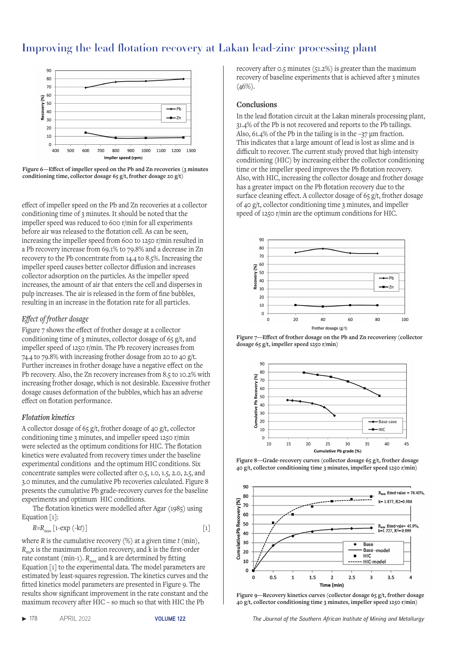

**Figure 6—Effect of impeller speed on the Pb and Zn recoveries (3 minutes conditioning time, collector dosage 65 g/t, frother dosage 20 g/t)** 

effect of impeller speed on the Pb and Zn recoveries at a collector conditioning time of 3 minutes. It should be noted that the impeller speed was reduced to 600 r/min for all experiments before air was released to the flotation cell. As can be seen, increasing the impeller speed from 600 to 1250 r/min resulted in a Pb recovery increase from 69.1% to 79.8% and a decrease in Zn recovery to the Pb concentrate from 14.4 to 8.5%. Increasing the impeller speed causes better collector diffusion and increases collector adsorption on the particles. As the impeller speed increases, the amount of air that enters the cell and disperses in pulp increases. The air is released in the form of fine bubbles, resulting in an increase in the flotation rate for all particles.

# *Effect of frother dosage*

Figure 7 shows the effect of frother dosage at a collector conditioning time of 3 minutes, collector dosage of 65 g/t, and impeller speed of 1250 r/min. The Pb recovery increases from 74.4 to 79.8% with increasing frother dosage from 20 to 40 g/t. Further increases in frother dosage have a negative effect on the Pb recovery. Also, the Zn recovery increases from 8.5 to 10.2% with increasing frother dosage, which is not desirable. Excessive frother dosage causes deformation of the bubbles, which has an adverse effect on flotation performance.

# *Flotation kinetics*

A collector dosage of 65 g/t, frother dosage of 40 g/t, collector conditioning time 3 minutes, and impeller speed 1250 r/min were selected as the optimum conditions for HIC. The flotation kinetics were evaluated from recovery times under the baseline experimental conditions and the optimum HIC conditions. Six concentrate samples were collected after 0.5, 1.0, 1.5, 2.0, 2.5, and 3.0 minutes, and the cumulative Pb recoveries calculated. Figure 8 presents the cumulative Pb grade-recovery curves for the baseline experiments and optimum HIC conditions.

The flotation kinetics were modelled after Agar (1985) using Equation [1]:

$$
R=R_{\text{max}}\left[1-\exp\left(-kt\right)\right]
$$
 [1]

where *R* is the cumulative recovery (%) at a given time *t* (min),  $R_{\text{max}}$  is the maximum flotation recovery, and k is the first-order rate constant (min-1).  $R_{\text{max}}$  and k are determined by fitting Equation [1] to the experimental data. The model parameters are estimated by least-squares regression. The kinetics curves and the fitted kinetics model parameters are presented in Figure 9. The results show significant improvement in the rate constant and the maximum recovery after HIC – so much so that with HIC the Pb

recovery after 0.5 minutes (51.2%) is greater than the maximum recovery of baseline experiments that is achieved after 3 minutes  $(46\%).$ 

### **Conclusions**

In the lead flotation circuit at the Lakan minerals processing plant, 31.4% of the Pb is not recovered and reports to the Pb tailings. Also, 61.4% of the Pb in the tailing is in the –37 µm fraction. This indicates that a large amount of lead is lost as slime and is difficult to recover. The current study proved that high-intensity conditioning (HIC) by increasing either the collector conditioning time or the impeller speed improves the Pb flotation recovery. Also, with HIC, increasing the collector dosage and frother dosage has a greater impact on the Pb flotation recovery due to the surface cleaning effect. A collector dosage of 65 g/t, frother dosage of 40 g/t, collector conditioning time 3 minutes, and impeller speed of 1250 r/min are the optimum conditions for HIC.



**Figure 7—Effect of frother dosage on the Pb and Zn recoveriesy (collector dosage 65 g/t, impeller speed 1250 r/min)**



**Figure 8—Grade-recovery curves (collector dosage 65 g/t, frother dosage 40 g/t, collector conditioning time 3 minutes, impeller speed 1250 r/min)** 



**Figure 9—Recovery kinetics curves (collector dosage 65 g/t, frother dosage 40 g/t, collector conditioning time 3 minutes, impeller speed 1250 r/min)**